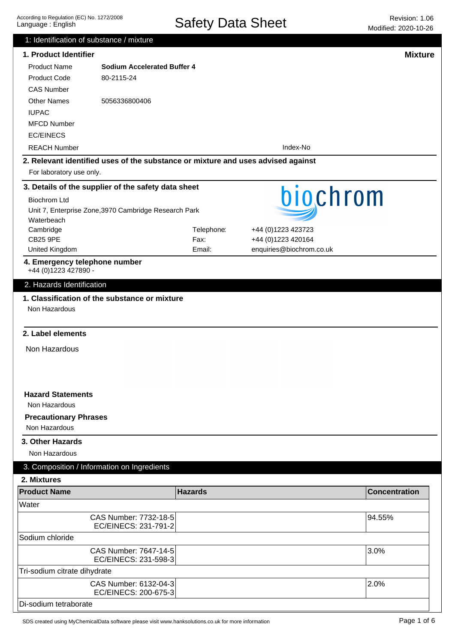| 1: Identification of substance / mixture                                         |                                               |                |                          |                      |  |
|----------------------------------------------------------------------------------|-----------------------------------------------|----------------|--------------------------|----------------------|--|
| 1. Product Identifier                                                            |                                               |                |                          | <b>Mixture</b>       |  |
| <b>Product Name</b>                                                              | <b>Sodium Accelerated Buffer 4</b>            |                |                          |                      |  |
| <b>Product Code</b>                                                              | 80-2115-24                                    |                |                          |                      |  |
| <b>CAS Number</b>                                                                |                                               |                |                          |                      |  |
| <b>Other Names</b>                                                               | 5056336800406                                 |                |                          |                      |  |
| <b>IUPAC</b>                                                                     |                                               |                |                          |                      |  |
| <b>MFCD Number</b>                                                               |                                               |                |                          |                      |  |
| <b>EC/EINECS</b>                                                                 |                                               |                |                          |                      |  |
| <b>REACH Number</b>                                                              |                                               |                | Index-No                 |                      |  |
| 2. Relevant identified uses of the substance or mixture and uses advised against |                                               |                |                          |                      |  |
| For laboratory use only.                                                         |                                               |                |                          |                      |  |
| 3. Details of the supplier of the safety data sheet                              |                                               |                |                          |                      |  |
| <b>Biochrom Ltd</b>                                                              |                                               |                | biochrom                 |                      |  |
| Unit 7, Enterprise Zone, 3970 Cambridge Research Park                            |                                               |                |                          |                      |  |
| Waterbeach                                                                       |                                               |                |                          |                      |  |
| Cambridge                                                                        |                                               | Telephone:     | +44 (0)1223 423723       |                      |  |
| <b>CB25 9PE</b>                                                                  |                                               | Fax:           | +44 (0)1223 420164       |                      |  |
| United Kingdom                                                                   |                                               | Email:         | enquiries@biochrom.co.uk |                      |  |
| 4. Emergency telephone number                                                    |                                               |                |                          |                      |  |
| +44 (0)1223 427890 -                                                             |                                               |                |                          |                      |  |
| 2. Hazards Identification                                                        |                                               |                |                          |                      |  |
| 2. Label elements                                                                |                                               |                |                          |                      |  |
| Non Hazardous                                                                    |                                               |                |                          |                      |  |
|                                                                                  |                                               |                |                          |                      |  |
| <b>Hazard Statements</b>                                                         |                                               |                |                          |                      |  |
| Non Hazardous                                                                    |                                               |                |                          |                      |  |
| <b>Precautionary Phrases</b><br>Non Hazardous                                    |                                               |                |                          |                      |  |
| 3. Other Hazards                                                                 |                                               |                |                          |                      |  |
| Non Hazardous                                                                    |                                               |                |                          |                      |  |
| 3. Composition / Information on Ingredients                                      |                                               |                |                          |                      |  |
| 2. Mixtures                                                                      |                                               |                |                          |                      |  |
| <b>Product Name</b>                                                              |                                               | <b>Hazards</b> |                          | <b>Concentration</b> |  |
| Water                                                                            |                                               |                |                          |                      |  |
|                                                                                  | CAS Number: 7732-18-5<br>EC/EINECS: 231-791-2 |                |                          | 94.55%               |  |
| Sodium chloride                                                                  |                                               |                |                          |                      |  |
|                                                                                  | CAS Number: 7647-14-5<br>EC/EINECS: 231-598-3 |                |                          | 3.0%                 |  |
| Tri-sodium citrate dihydrate                                                     |                                               |                |                          |                      |  |
|                                                                                  | CAS Number: 6132-04-3<br>EC/EINECS: 200-675-3 |                |                          | 2.0%                 |  |
| Di-sodium tetraborate                                                            |                                               |                |                          |                      |  |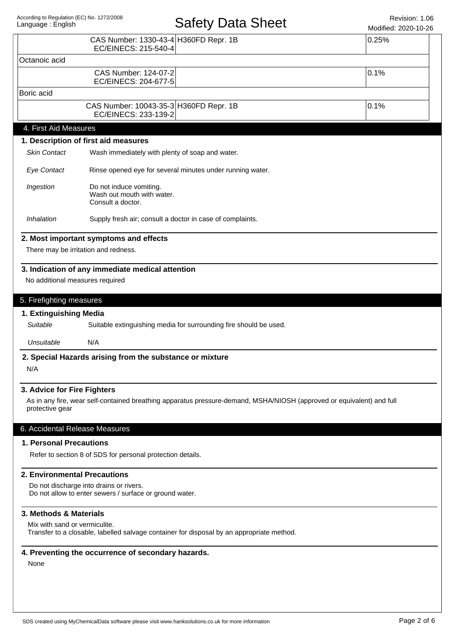# Safety Data Sheet Revision: 1.06

Modified: 2020-10-26

|                                                                | CAS Number: 1330-43-4 H360FD Repr. 1B<br>EC/EINECS: 215-540-4                                                         | 0.25% |  |  |
|----------------------------------------------------------------|-----------------------------------------------------------------------------------------------------------------------|-------|--|--|
| Octanoic acid                                                  |                                                                                                                       |       |  |  |
|                                                                | CAS Number: 124-07-2<br>EC/EINECS: 204-677-5                                                                          | 0.1%  |  |  |
| Boric acid                                                     |                                                                                                                       |       |  |  |
|                                                                | CAS Number: 10043-35-3 H360FD Repr. 1B<br>EC/EINECS: 233-139-2                                                        | 0.1%  |  |  |
| 4. First Aid Measures                                          |                                                                                                                       |       |  |  |
|                                                                | 1. Description of first aid measures                                                                                  |       |  |  |
| <b>Skin Contact</b>                                            | Wash immediately with plenty of soap and water.                                                                       |       |  |  |
| <b>Eye Contact</b>                                             | Rinse opened eye for several minutes under running water.                                                             |       |  |  |
| Ingestion                                                      | Do not induce vomiting.<br>Wash out mouth with water.<br>Consult a doctor.                                            |       |  |  |
| Inhalation                                                     | Supply fresh air; consult a doctor in case of complaints.                                                             |       |  |  |
|                                                                | 2. Most important symptoms and effects                                                                                |       |  |  |
|                                                                | There may be irritation and redness.                                                                                  |       |  |  |
| No additional measures required                                | 3. Indication of any immediate medical attention                                                                      |       |  |  |
| 5. Firefighting measures<br>1. Extinguishing Media<br>Suitable | Suitable extinguishing media for surrounding fire should be used.                                                     |       |  |  |
| Unsuitable                                                     | N/A                                                                                                                   |       |  |  |
|                                                                | 2. Special Hazards arising from the substance or mixture                                                              |       |  |  |
| N/A                                                            |                                                                                                                       |       |  |  |
| 3. Advice for Fire Fighters                                    |                                                                                                                       |       |  |  |
| protective gear                                                | As in any fire, wear self-contained breathing apparatus pressure-demand, MSHA/NIOSH (approved or equivalent) and full |       |  |  |
| 6. Accidental Release Measures                                 |                                                                                                                       |       |  |  |
| 1. Personal Precautions                                        |                                                                                                                       |       |  |  |
|                                                                | Refer to section 8 of SDS for personal protection details.                                                            |       |  |  |
| 2. Environmental Precautions                                   |                                                                                                                       |       |  |  |
|                                                                | Do not discharge into drains or rivers.<br>Do not allow to enter sewers / surface or ground water.                    |       |  |  |
| 3. Methods & Materials                                         |                                                                                                                       |       |  |  |
| Mix with sand or vermiculite.                                  | Transfer to a closable, labelled salvage container for disposal by an appropriate method.                             |       |  |  |
|                                                                | 4. Preventing the occurrence of secondary hazards.                                                                    |       |  |  |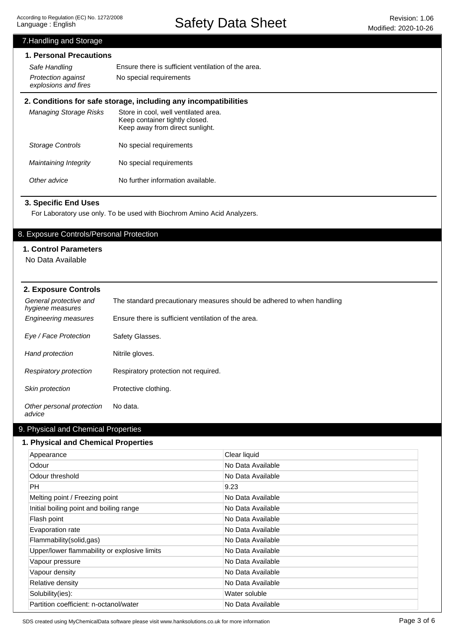7.Handling and Storage

Safety Data Sheet Revision: 1.06

## Other advice No further information available. Maintaining Integrity Storage Controls Managing Storage Risks **2. Conditions for safe storage, including any incompatibilities** Store in cool, well ventilated area. Keep container tightly closed. Keep away from direct sunlight. No special requirements No special requirements **1. Personal Precautions** Ensure there is sufficient ventilation of the area. Protection against No special requirements explosions and fires Safe Handling General protective and hygiene measures The standard precautionary measures should be adhered to when handling Engineering measures Ensure there is sufficient ventilation of the area. Eye / Face Protection Safety Glasses. Hand protection Nitrile gloves. Respiratory protection Respiratory protection not required. Skin protection Protective clothing. **2. Exposure Controls** For Laboratory use only. To be used with Biochrom Amino Acid Analyzers. **3. Specific End Uses** 8. Exposure Controls/Personal Protection **1. Control Parameters** No Data Available

Other personal protection advice No data.

## 9. Physical and Chemical Properties

#### **1. Physical and Chemical Properties**

| Appearance                                   | Clear liquid      |
|----------------------------------------------|-------------------|
| Odour                                        | No Data Available |
| Odour threshold                              | No Data Available |
| PH.                                          | 9.23              |
| Melting point / Freezing point               | No Data Available |
| Initial boiling point and boiling range      | No Data Available |
| Flash point                                  | No Data Available |
| Evaporation rate                             | No Data Available |
| Flammability(solid,gas)                      | No Data Available |
| Upper/lower flammability or explosive limits | No Data Available |
| Vapour pressure                              | No Data Available |
| Vapour density                               | No Data Available |
| Relative density                             | No Data Available |
| Solubility(ies):                             | Water soluble     |
| Partition coefficient: n-octanol/water       | No Data Available |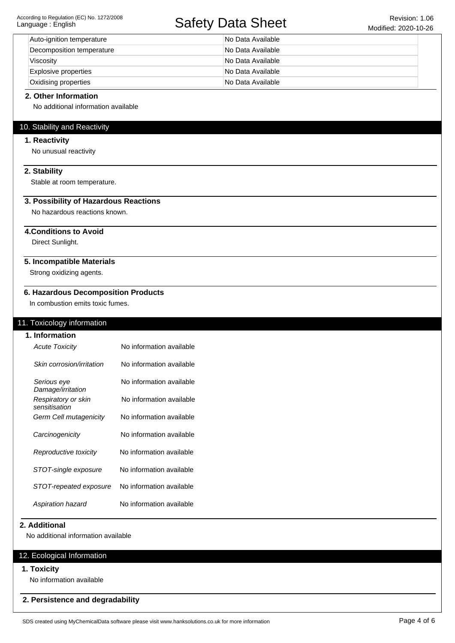## Safety Data Sheet Revision: 1.06

| Auto-ignition temperature   | No Data Available |
|-----------------------------|-------------------|
| Decomposition temperature   | No Data Available |
| Viscosity                   | No Data Available |
| <b>Explosive properties</b> | No Data Available |
| <b>Oxidising properties</b> | No Data Available |

#### **2. Other Information**

No additional information available

## 10. Stability and Reactivity

### **1. Reactivity**

No unusual reactivity

## **2. Stability**

Stable at room temperature.

## **3. Possibility of Hazardous Reactions**

No hazardous reactions known.

## **4.Conditions to Avoid**

Direct Sunlight.

## **5. Incompatible Materials**

Strong oxidizing agents.

### **6. Hazardous Decomposition Products**

In combustion emits toxic fumes.

## 11. Toxicology information

**1. Information**

| <b>Acute Toxicity</b>                | No information available |
|--------------------------------------|--------------------------|
| Skin corrosion/irritation            | No information available |
| Serious eye<br>Damage/irritation     | No information available |
| Respiratory or skin<br>sensitisation | No information available |
| Germ Cell mutagenicity               | No information available |
| Carcinogenicity                      | No information available |
| Reproductive toxicity                | No information available |
| STOT-single exposure                 | No information available |
| STOT-repeated exposure               | No information available |
| Aspiration hazard                    | No information available |

#### **2. Additional**

No additional information available

## 12. Ecological Information

#### **1. Toxicity**

No information available

### **2. Persistence and degradability**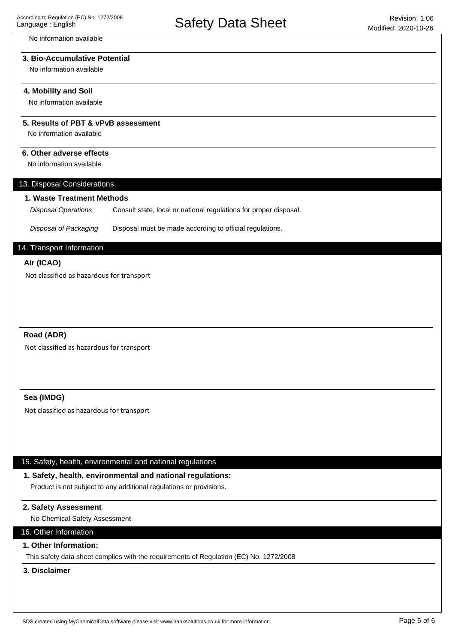#### No information available

## **3. Bio-Accumulative Potential**

No information available

#### **4. Mobility and Soil**

No information available

## **5. Results of PBT & vPvB assessment**

No information available

### **6. Other adverse effects**

No information available

#### 13. Disposal Considerations

#### **1. Waste Treatment Methods**

Consult state, local or national regulations for proper disposal. Disposal Operations

Disposal of Packaging Disposal must be made according to official regulations.

## 14. Transport Information

#### **Air (ICAO)**

Not classified as hazardous for transport

## **Road (ADR)**

Not classified as hazardous for transport

#### **Sea (IMDG)**

Not classified as hazardous for transport

#### 15. Safety, health, environmental and national regulations

## **1. Safety, health, environmental and national regulations:**

Product is not subject to any additional regulations or provisions.

## **2. Safety Assessment**

No Chemical Safety Assessment

## 16. Other Information

## **1. Other Information:**

This safety data sheet complies with the requirements of Regulation (EC) No. 1272/2008

## **3. Disclaimer**